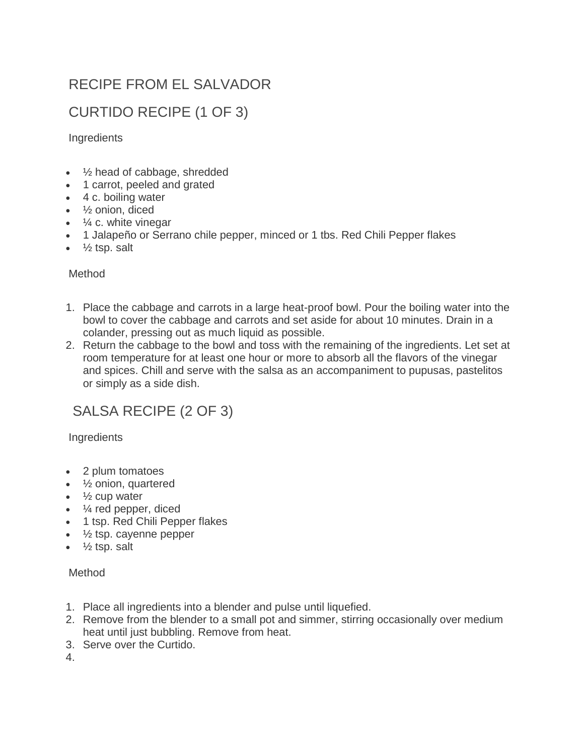## RECIPE FROM EL SALVADOR

## CURTIDO RECIPE (1 OF 3)

Ingredients

- 1/<sub>2</sub> head of cabbage, shredded
- 1 carrot, peeled and grated
- 4 c. boiling water
- ½ onion, diced
- $\cdot$   $\frac{1}{4}$  c. white vinegar
- 1 Jalapeño or Serrano chile pepper, minced or 1 tbs. Red Chili Pepper flakes
- $\bullet$   $\frac{1}{2}$  tsp. salt

#### Method

- 1. Place the cabbage and carrots in a large heat-proof bowl. Pour the boiling water into the bowl to cover the cabbage and carrots and set aside for about 10 minutes. Drain in a colander, pressing out as much liquid as possible.
- 2. Return the cabbage to the bowl and toss with the remaining of the ingredients. Let set at room temperature for at least one hour or more to absorb all the flavors of the vinegar and spices. Chill and serve with the salsa as an accompaniment to pupusas, pastelitos or simply as a side dish.

### SALSA RECIPE (2 OF 3)

#### Ingredients

- 2 plum tomatoes
- 1/<sub>2</sub> onion, quartered
- $\cdot$   $\frac{1}{2}$  cup water
- $\bullet$   $\frac{1}{4}$  red pepper, diced
- 1 tsp. Red Chili Pepper flakes
- $\cdot$   $\frac{1}{2}$  tsp. cayenne pepper
- $\cdot$   $\frac{1}{2}$  tsp. salt

#### Method

- 1. Place all ingredients into a blender and pulse until liquefied.
- 2. Remove from the blender to a small pot and simmer, stirring occasionally over medium heat until just bubbling. Remove from heat.
- 3. Serve over the Curtido.

4.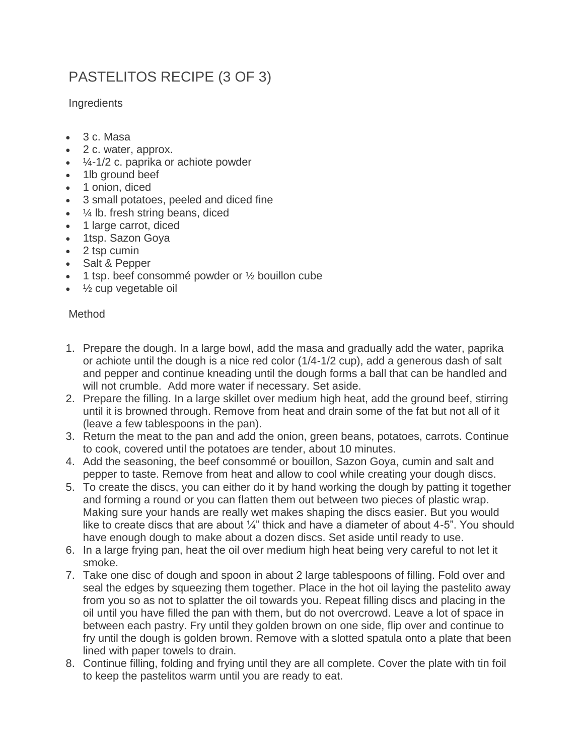# PASTELITOS RECIPE (3 OF 3)

**Ingredients** 

- 3 c. Masa
- 2 c. water, approx.
- $\cdot$   $\frac{1}{4}$ -1/2 c. paprika or achiote powder
- 1lb ground beef
- 1 onion, diced
- 3 small potatoes, peeled and diced fine
- ¼ lb. fresh string beans, diced
- 1 large carrot, diced
- 1tsp. Sazon Goya
- 2 tsp cumin
- Salt & Pepper
- $\bullet$  1 tsp. beef consommé powder or  $\frac{1}{2}$  bouillon cube
- 1/<sub>2</sub> cup vegetable oil

### Method

- 1. Prepare the dough. In a large bowl, add the masa and gradually add the water, paprika or achiote until the dough is a nice red color (1/4-1/2 cup), add a generous dash of salt and pepper and continue kneading until the dough forms a ball that can be handled and will not crumble. Add more water if necessary. Set aside.
- 2. Prepare the filling. In a large skillet over medium high heat, add the ground beef, stirring until it is browned through. Remove from heat and drain some of the fat but not all of it (leave a few tablespoons in the pan).
- 3. Return the meat to the pan and add the onion, green beans, potatoes, carrots. Continue to cook, covered until the potatoes are tender, about 10 minutes.
- 4. Add the seasoning, the beef consommé or bouillon, Sazon Goya, cumin and salt and pepper to taste. Remove from heat and allow to cool while creating your dough discs.
- 5. To create the discs, you can either do it by hand working the dough by patting it together and forming a round or you can flatten them out between two pieces of plastic wrap. Making sure your hands are really wet makes shaping the discs easier. But you would like to create discs that are about  $\frac{1}{4}$ " thick and have a diameter of about 4-5". You should have enough dough to make about a dozen discs. Set aside until ready to use.
- 6. In a large frying pan, heat the oil over medium high heat being very careful to not let it smoke.
- 7. Take one disc of dough and spoon in about 2 large tablespoons of filling. Fold over and seal the edges by squeezing them together. Place in the hot oil laying the pastelito away from you so as not to splatter the oil towards you. Repeat filling discs and placing in the oil until you have filled the pan with them, but do not overcrowd. Leave a lot of space in between each pastry. Fry until they golden brown on one side, flip over and continue to fry until the dough is golden brown. Remove with a slotted spatula onto a plate that been lined with paper towels to drain.
- 8. Continue filling, folding and frying until they are all complete. Cover the plate with tin foil to keep the pastelitos warm until you are ready to eat.